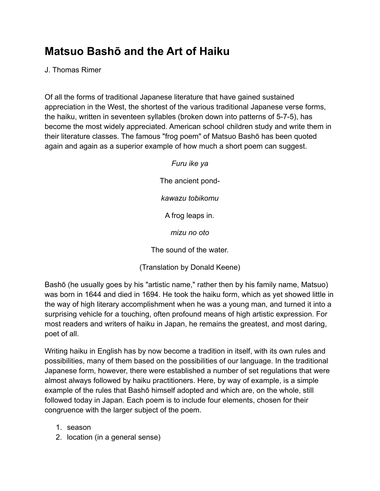# **Matsuo Bashō and the Art of Haiku**

J. Thomas Rimer

Of all the forms of traditional Japanese literature that have gained sustained appreciation in the West, the shortest of the various traditional Japanese verse forms, the haiku, written in seventeen syllables (broken down into patterns of 5-7-5), has become the most widely appreciated. American school children study and write them in their literature classes. The famous "frog poem" of Matsuo Bashō has been quoted again and again as a superior example of how much a short poem can suggest.

*Furu ike ya*

The ancient pond-

*kawazu tobikomu*

A frog leaps in.

*mizu no oto*

The sound of the water.

(Translation by Donald Keene)

Bashō (he usually goes by his "artistic name," rather then by his family name, Matsuo) was born in 1644 and died in 1694. He took the haiku form, which as yet showed little in the way of high literary accomplishment when he was a young man, and turned it into a surprising vehicle for a touching, often profound means of high artistic expression. For most readers and writers of haiku in Japan, he remains the greatest, and most daring, poet of all.

Writing haiku in English has by now become a tradition in itself, with its own rules and possibilities, many of them based on the possibilities of our language. In the traditional Japanese form, however, there were established a number of set regulations that were almost always followed by haiku practitioners. Here, by way of example, is a simple example of the rules that Bashō himself adopted and which are, on the whole, still followed today in Japan. Each poem is to include four elements, chosen for their congruence with the larger subject of the poem.

- 1. season
- 2. location (in a general sense)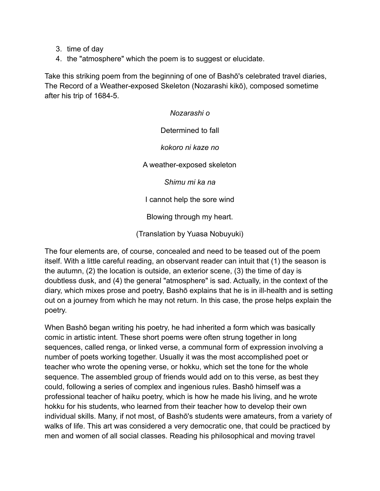- 3. time of day
- 4. the "atmosphere" which the poem is to suggest or elucidate.

Take this striking poem from the beginning of one of Bashō's celebrated travel diaries, The Record of a Weather-exposed Skeleton (Nozarashi kikō), composed sometime after his trip of 1684-5.

> *Nozarashi o* Determined to fall *kokoro ni kaze no* A weather-exposed skeleton *Shimu mi ka na* I cannot help the sore wind Blowing through my heart.

(Translation by Yuasa Nobuyuki)

The four elements are, of course, concealed and need to be teased out of the poem itself. With a little careful reading, an observant reader can intuit that (1) the season is the autumn, (2) the location is outside, an exterior scene, (3) the time of day is doubtless dusk, and (4) the general "atmosphere" is sad. Actually, in the context of the diary, which mixes prose and poetry, Bashō explains that he is in ill-health and is setting out on a journey from which he may not return. In this case, the prose helps explain the poetry.

When Bashō began writing his poetry, he had inherited a form which was basically comic in artistic intent. These short poems were often strung together in long sequences, called renga, or linked verse, a communal form of expression involving a number of poets working together. Usually it was the most accomplished poet or teacher who wrote the opening verse, or hokku, which set the tone for the whole sequence. The assembled group of friends would add on to this verse, as best they could, following a series of complex and ingenious rules. Bashō himself was a professional teacher of haiku poetry, which is how he made his living, and he wrote hokku for his students, who learned from their teacher how to develop their own individual skills. Many, if not most, of Bashō's students were amateurs, from a variety of walks of life. This art was considered a very democratic one, that could be practiced by men and women of all social classes. Reading his philosophical and moving travel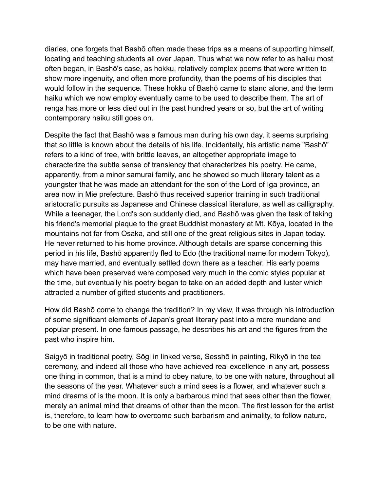diaries, one forgets that Bashō often made these trips as a means of supporting himself, locating and teaching students all over Japan. Thus what we now refer to as haiku most often began, in Bashō's case, as hokku, relatively complex poems that were written to show more ingenuity, and often more profundity, than the poems of his disciples that would follow in the sequence. These hokku of Bashō came to stand alone, and the term haiku which we now employ eventually came to be used to describe them. The art of renga has more or less died out in the past hundred years or so, but the art of writing contemporary haiku still goes on.

Despite the fact that Bashō was a famous man during his own day, it seems surprising that so little is known about the details of his life. Incidentally, his artistic name "Bashō" refers to a kind of tree, with brittle leaves, an altogether appropriate image to characterize the subtle sense of transiency that characterizes his poetry. He came, apparently, from a minor samurai family, and he showed so much literary talent as a youngster that he was made an attendant for the son of the Lord of Iga province, an area now in Mie prefecture. Bashō thus received superior training in such traditional aristocratic pursuits as Japanese and Chinese classical literature, as well as calligraphy. While a teenager, the Lord's son suddenly died, and Bashō was given the task of taking his friend's memorial plaque to the great Buddhist monastery at Mt. Kōya, located in the mountains not far from Osaka, and still one of the great religious sites in Japan today. He never returned to his home province. Although details are sparse concerning this period in his life, Bashō apparently fled to Edo (the traditional name for modern Tokyo), may have married, and eventually settled down there as a teacher. His early poems which have been preserved were composed very much in the comic styles popular at the time, but eventually his poetry began to take on an added depth and luster which attracted a number of gifted students and practitioners.

How did Bashō come to change the tradition? In my view, it was through his introduction of some significant elements of Japan's great literary past into a more mundane and popular present. In one famous passage, he describes his art and the figures from the past who inspire him.

Saigyō in traditional poetry, Sōgi in linked verse, Sesshō in painting, Rikyō in the tea ceremony, and indeed all those who have achieved real excellence in any art, possess one thing in common, that is a mind to obey nature, to be one with nature, throughout all the seasons of the year. Whatever such a mind sees is a flower, and whatever such a mind dreams of is the moon. It is only a barbarous mind that sees other than the flower, merely an animal mind that dreams of other than the moon. The first lesson for the artist is, therefore, to learn how to overcome such barbarism and animality, to follow nature, to be one with nature.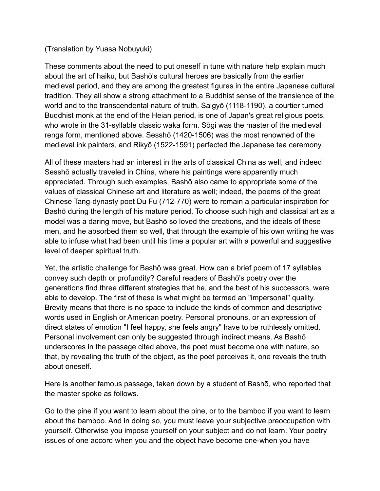# (Translation by Yuasa Nobuyuki)

These comments about the need to put oneself in tune with nature help explain much about the art of haiku, but Bashō's cultural heroes are basically from the earlier medieval period, and they are among the greatest figures in the entire Japanese cultural tradition. They all show a strong attachment to a Buddhist sense of the transience of the world and to the transcendental nature of truth. Saigyō (1118-1190), a courtier turned Buddhist monk at the end of the Heian period, is one of Japan's great religious poets, who wrote in the 31-syllable classic waka form. Sōgi was the master of the medieval renga form, mentioned above. Sesshō (1420-1506) was the most renowned of the medieval ink painters, and Rikyō (1522-1591) perfected the Japanese tea ceremony.

All of these masters had an interest in the arts of classical China as well, and indeed Sesshō actually traveled in China, where his paintings were apparently much appreciated. Through such examples, Bashō also came to appropriate some of the values of classical Chinese art and literature as well; indeed, the poems of the great Chinese Tang-dynasty poet Du Fu (712-770) were to remain a particular inspiration for Bashō during the length of his mature period. To choose such high and classical art as a model was a daring move, but Bashō so loved the creations, and the ideals of these men, and he absorbed them so well, that through the example of his own writing he was able to infuse what had been until his time a popular art with a powerful and suggestive level of deeper spiritual truth.

Yet, the artistic challenge for Bashō was great. How can a brief poem of 17 syllables convey such depth or profundity? Careful readers of Bashō's poetry over the generations find three different strategies that he, and the best of his successors, were able to develop. The first of these is what might be termed an "impersonal" quality. Brevity means that there is no space to include the kinds of common and descriptive words used in English or American poetry. Personal pronouns, or an expression of direct states of emotion "I feel happy, she feels angry" have to be ruthlessly omitted. Personal involvement can only be suggested through indirect means. As Bashō underscores in the passage cited above, the poet must become one with nature, so that, by revealing the truth of the object, as the poet perceives it, one reveals the truth about oneself.

Here is another famous passage, taken down by a student of Bashō, who reported that the master spoke as follows.

Go to the pine if you want to learn about the pine, or to the bamboo if you want to learn about the bamboo. And in doing so, you must leave your subjective preoccupation with yourself. Otherwise you impose yourself on your subject and do not learn. Your poetry issues of one accord when you and the object have become one-when you have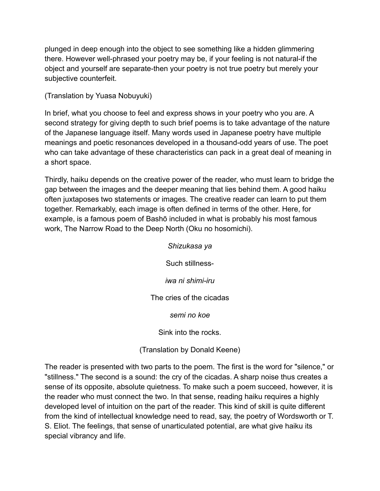plunged in deep enough into the object to see something like a hidden glimmering there. However well-phrased your poetry may be, if your feeling is not natural-if the object and yourself are separate-then your poetry is not true poetry but merely your subjective counterfeit.

(Translation by Yuasa Nobuyuki)

In brief, what you choose to feel and express shows in your poetry who you are. A second strategy for giving depth to such brief poems is to take advantage of the nature of the Japanese language itself. Many words used in Japanese poetry have multiple meanings and poetic resonances developed in a thousand-odd years of use. The poet who can take advantage of these characteristics can pack in a great deal of meaning in a short space.

Thirdly, haiku depends on the creative power of the reader, who must learn to bridge the gap between the images and the deeper meaning that lies behind them. A good haiku often juxtaposes two statements or images. The creative reader can learn to put them together. Remarkably, each image is often defined in terms of the other. Here, for example, is a famous poem of Bashō included in what is probably his most famous work, The Narrow Road to the Deep North (Oku no hosomichi).

> *Shizukasa ya* Such stillness*iwa ni shimi-iru* The cries of the cicadas *semi no koe* Sink into the rocks. (Translation by Donald Keene)

The reader is presented with two parts to the poem. The first is the word for "silence," or "stillness." The second is a sound: the cry of the cicadas. A sharp noise thus creates a sense of its opposite, absolute quietness. To make such a poem succeed, however, it is the reader who must connect the two. In that sense, reading haiku requires a highly developed level of intuition on the part of the reader. This kind of skill is quite different from the kind of intellectual knowledge need to read, say, the poetry of Wordsworth or T. S. Eliot. The feelings, that sense of unarticulated potential, are what give haiku its special vibrancy and life.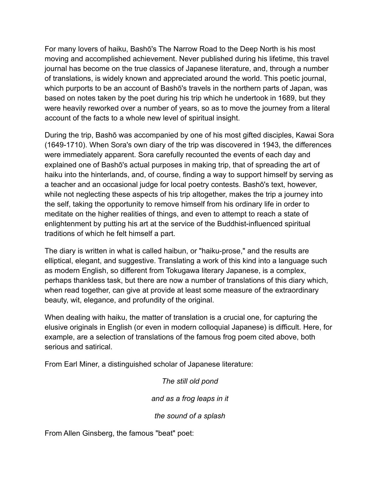For many lovers of haiku, Bashō's The Narrow Road to the Deep North is his most moving and accomplished achievement. Never published during his lifetime, this travel journal has become on the true classics of Japanese literature, and, through a number of translations, is widely known and appreciated around the world. This poetic journal, which purports to be an account of Bashō's travels in the northern parts of Japan, was based on notes taken by the poet during his trip which he undertook in 1689, but they were heavily reworked over a number of years, so as to move the journey from a literal account of the facts to a whole new level of spiritual insight.

During the trip, Bashō was accompanied by one of his most gifted disciples, Kawai Sora (1649-1710). When Sora's own diary of the trip was discovered in 1943, the differences were immediately apparent. Sora carefully recounted the events of each day and explained one of Bashō's actual purposes in making trip, that of spreading the art of haiku into the hinterlands, and, of course, finding a way to support himself by serving as a teacher and an occasional judge for local poetry contests. Bashō's text, however, while not neglecting these aspects of his trip altogether, makes the trip a journey into the self, taking the opportunity to remove himself from his ordinary life in order to meditate on the higher realities of things, and even to attempt to reach a state of enlightenment by putting his art at the service of the Buddhist-influenced spiritual traditions of which he felt himself a part.

The diary is written in what is called haibun, or "haiku-prose," and the results are elliptical, elegant, and suggestive. Translating a work of this kind into a language such as modern English, so different from Tokugawa literary Japanese, is a complex, perhaps thankless task, but there are now a number of translations of this diary which, when read together, can give at provide at least some measure of the extraordinary beauty, wit, elegance, and profundity of the original.

When dealing with haiku, the matter of translation is a crucial one, for capturing the elusive originals in English (or even in modern colloquial Japanese) is difficult. Here, for example, are a selection of translations of the famous frog poem cited above, both serious and satirical.

From Earl Miner, a distinguished scholar of Japanese literature:

*The still old pond and as a frog leaps in it the sound of a splash*

From Allen Ginsberg, the famous "beat" poet: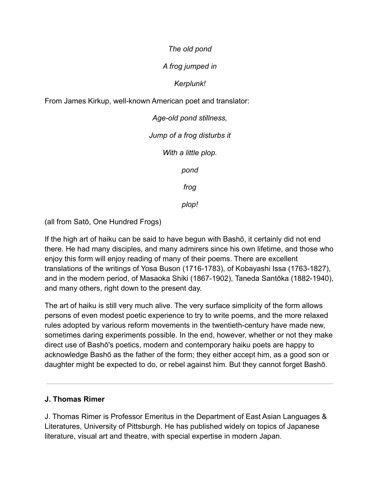## *The old pond*

# *A frog jumped in*

# *Kerplunk!*

From James Kirkup, well-known American poet and translator:

*Age-old pond stillness, Jump of a frog disturbs it With a little plop. pond frog plop!*

(all from Satō, One Hundred Frogs)

If the high art of haiku can be said to have begun with Bashō, it certainly did not end there. He had many disciples, and many admirers since his own lifetime, and those who enjoy this form will enjoy reading of many of their poems. There are excellent translations of the writings of Yosa Buson (1716-1783), of Kobayashi Issa (1763-1827), and in the modern period, of Masaoka Shiki (1867-1902), Taneda Santōka (1882-1940), and many others, right down to the present day.

The art of haiku is still very much alive. The very surface simplicity of the form allows persons of even modest poetic experience to try to write poems, and the more relaxed rules adopted by various reform movements in the twentieth-century have made new, sometimes daring experiments possible. In the end, however, whether or not they make direct use of Bashō's poetics, modern and contemporary haiku poets are happy to acknowledge Bashō as the father of the form; they either accept him, as a good son or daughter might be expected to do, or rebel against him. But they cannot forget Bashō.

# **J. Thomas Rimer**

J. Thomas Rimer is Professor Emeritus in the Department of East Asian Languages & Literatures, University of Pittsburgh. He has published widely on topics of Japanese literature, visual art and theatre, with special expertise in modern Japan.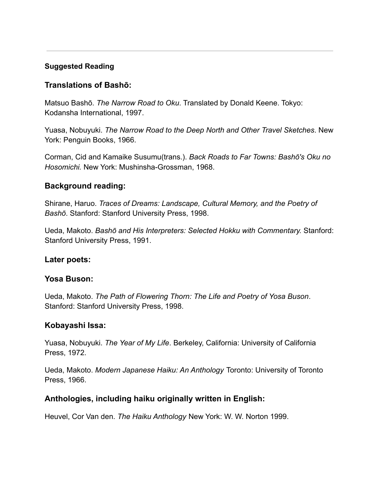# **Suggested Reading**

# **Translations of Bashō:**

Matsuo Bashō. *The Narrow Road to Oku*. Translated by Donald Keene. Tokyo: Kodansha International, 1997.

Yuasa, Nobuyuki. *The Narrow Road to the Deep North and Other Travel Sketches*. New York: Penguin Books, 1966.

Corman, Cid and Kamaike Susumu(trans.). *Back Roads to Far Towns: Bashō's Oku no Hosomichi.* New York: Mushinsha-Grossman, 1968.

# **Background reading:**

Shirane, Haruo. *Traces of Dreams: Landscape, Cultural Memory, and the Poetry of Bashō*. Stanford: Stanford University Press, 1998.

Ueda, Makoto. *Bashō and His Interpreters: Selected Hokku with Commentary.* Stanford: Stanford University Press, 1991.

#### **Later poets:**

#### **Yosa Buson:**

Ueda, Makoto. *The Path of Flowering Thorn: The Life and Poetry of Yosa Buson*. Stanford: Stanford University Press, 1998.

# **Kobayashi Issa:**

Yuasa, Nobuyuki. *The Year of My Life*. Berkeley, California: University of California Press, 1972.

Ueda, Makoto. *Modern Japanese Haiku: An Anthology* Toronto: University of Toronto Press, 1966.

# **Anthologies, including haiku originally written in English:**

Heuvel, Cor Van den. *The Haiku Anthology* New York: W. W. Norton 1999.